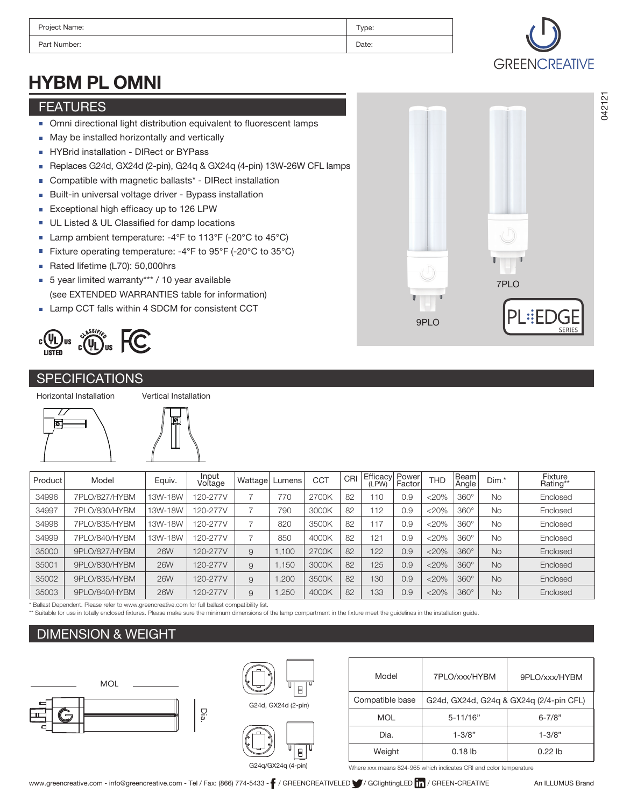| Project Name: | Type: |
|---------------|-------|
| Part Number:  | Date: |

# HYBM PL OMNI

### FEATURES

- Omni directional light distribution equivalent to fluorescent lamps
- May be installed horizontally and vertically n.
- HYBrid installation DIRect or BYPass ×
- Replaces G24d, GX24d (2-pin), G24q & GX24q (4-pin) 13W-26W CFL lamps  $\blacksquare$
- Compatible with magnetic ballasts\* DIRect installation  $\mathbf{r}$
- Built-in universal voltage driver Bypass installation  $\overline{\phantom{a}}$
- Exceptional high efficacy up to 126 LPW ×
- UL Listed & UL Classified for damp locations Ħ
- Lamp ambient temperature: -4°F to 113°F (-20°C to 45°C) Ì.
- Fixture operating temperature: -4°F to 95°F (-20°C to 35°C)  $\overline{\phantom{a}}$
- Rated lifetime (L70): 50,000hrs Ħ
- 5 year limited warranty\*\*\* / 10 year available Ħ (see EXTENDED WARRANTIES table for information)
- **Lamp CCT falls within 4 SDCM for consistent CCT**



#### **SPECIFICATIONS**

Horizontal Installation





| Product | Model         | Equiv.     | Input<br>Voltage | Wattage       | Lumens | <b>CCT</b> | CRI | Efficacy<br>(LPW) | Power<br>Factor | <b>THD</b> | Beam<br>Angle | Dim.*     | Fixture<br>Rating** |
|---------|---------------|------------|------------------|---------------|--------|------------|-----|-------------------|-----------------|------------|---------------|-----------|---------------------|
| 34996   | 7PLO/827/HYBM | 13W-18W    | 120-277V         | ⇁             | 770    | 2700K      | 82  | 110               | 0.9             | $<20\%$    | $360^\circ$   | <b>No</b> | Enclosed            |
| 34997   | 7PLO/830/HYBM | 13W-18W    | 120-277V         | ⇁             | 790    | 3000K      | 82  | 112               | 0.9             | $<20\%$    | $360^\circ$   | <b>No</b> | Enclosed            |
| 34998   | 7PLO/835/HYBM | 13W-18W    | 120-277V         |               | 820    | 3500K      | 82  | 17                | 0.9             | $<$ 20%    | $360^\circ$   | <b>No</b> | Enclosed            |
| 34999   | 7PLO/840/HYBM | 13W-18W    | 120-277V         | $\rightarrow$ | 850    | 4000K      | 82  | 121               | 0.9             | $<$ 20%    | $360^\circ$   | <b>No</b> | Enclosed            |
| 35000   | 9PLO/827/HYBM | <b>26W</b> | 120-277V         | 9             | 1.100  | 2700K      | 82  | 122               | 0.9             | $<$ 20%    | $360^\circ$   | <b>No</b> | Enclosed            |
| 35001   | 9PLO/830/HYBM | <b>26W</b> | 120-277V         | 9             | 1.150  | 3000K      | 82  | 125               | 0.9             | $<$ 20%    | $360^\circ$   | <b>No</b> | Enclosed            |
| 35002   | 9PLO/835/HYBM | <b>26W</b> | 120-277V         | 9             | .200   | 3500K      | 82  | 130               | 0.9             | $<$ 20%    | $360^\circ$   | <b>No</b> | Enclosed            |
| 35003   | 9PLO/840/HYBM | <b>26W</b> | 120-277V         | 9             | ,250   | 4000K      | 82  | 133               | 0.9             | $<$ 20%    | $360^\circ$   | <b>No</b> | Enclosed            |

\* Ballast Dependent. Please refer to www.greencreative.com for full ballast compatibility list.

\*\* Suitable for use in totally enclosed fixtures. Please make sure the minimum dimensions of the lamp compartment in the fixture meet the guidelines in the installation guide.

### DIMENSION & WEIGHT







Where xxx means 824-965 which indicates CRI and color temperature

5-11/16"

G24d, GX24d, G24q & GX24q (2/4-pin CFL)

7PLO/xxx/HYBM 9PLO/xxx/HYBM



Compatible base

MOL

Model

6-7/8"

**GREENCREATIVE**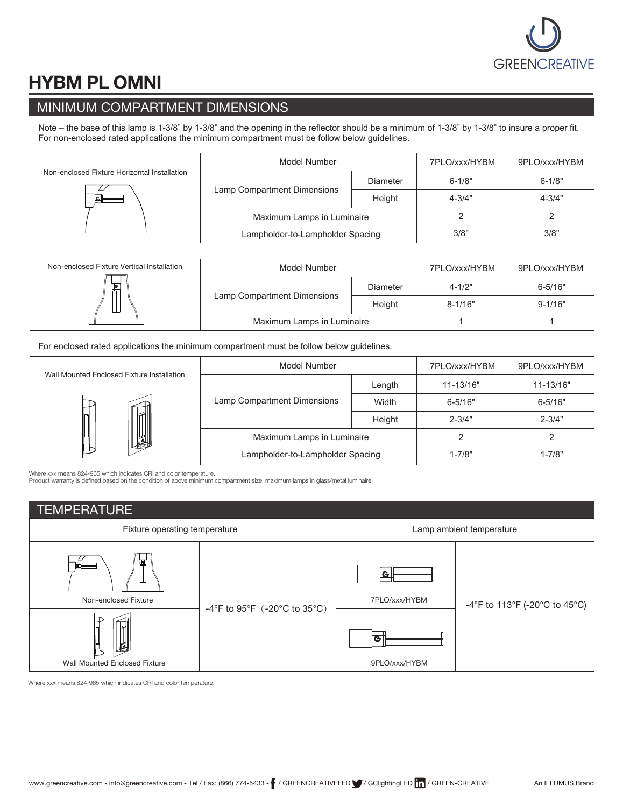

# HYBM PL OMNI

## MINIMUM COMPARTMENT DIMENSIONS

Note – the base of this lamp is 1-3/8" by 1-3/8" and the opening in the reflector should be a minimum of 1-3/8" by 1-3/8" to insure a proper fit. For non-enclosed rated applications the minimum compartment must be follow below guidelines.

| Non-enclosed Fixture Horizontal Installation<br>bst | Model Number                          | 7PLO/xxx/HYBM | 9PLO/xxx/HYBM |            |
|-----------------------------------------------------|---------------------------------------|---------------|---------------|------------|
|                                                     |                                       | Diameter      | $6 - 1/8"$    | $6 - 1/8"$ |
|                                                     | Lamp Compartment Dimensions<br>Height |               | $4 - 3/4"$    | $4 - 3/4"$ |
|                                                     | Maximum Lamps in Luminaire            |               |               |            |
|                                                     | Lampholder-to-Lampholder Spacing      | 3/8"          | 3/8"          |            |

| Non-enclosed Fixture Vertical Installation | Model Number                          | 7PLO/xxx/HYBM | 9PLO/xxx/HYBM |             |
|--------------------------------------------|---------------------------------------|---------------|---------------|-------------|
| $\frac{1}{2}$<br>ட                         |                                       | Diameter      | $4 - 1/2"$    | $6 - 5/16"$ |
|                                            | Lamp Compartment Dimensions<br>Height |               | $8 - 1/16"$   | $9 - 1/16"$ |
|                                            | Maximum Lamps in Luminaire            |               |               |             |

For enclosed rated applications the minimum compartment must be follow below guidelines.

|                                            | Model Number                                             | 7PLO/xxx/HYBM | 9PLO/xxx/HYBM |             |
|--------------------------------------------|----------------------------------------------------------|---------------|---------------|-------------|
| Wall Mounted Enclosed Fixture Installation | Length<br>Lamp Compartment Dimensions<br>Width<br>Height |               | 11-13/16"     | 11-13/16"   |
|                                            |                                                          |               | $6 - 5/16"$   | $6 - 5/16"$ |
|                                            |                                                          |               | $2 - 3/4"$    | $2 - 3/4"$  |
| Н                                          | Maximum Lamps in Luminaire                               |               |               |             |
|                                            | Lampholder-to-Lampholder Spacing                         | $1 - 7/8"$    | $1 - 7/8"$    |             |

Where xxx means 824-965 which indicates CRI and color temperature.

Product warranty is defined based on the condition of above minimum compartment size, maximum lamps in glass/metal luminaire.

| <b>TEMPERATURE</b>                                                      |                                                  |                                                     |                               |  |  |
|-------------------------------------------------------------------------|--------------------------------------------------|-----------------------------------------------------|-------------------------------|--|--|
| Fixture operating temperature                                           |                                                  | Lamp ambient temperature                            |                               |  |  |
| ⊡<br>Non-enclosed Fixture<br>U)<br><b>Wall Mounted Enclosed Fixture</b> | -4°F to $95^{\circ}$ F (-20°C to $35^{\circ}$ C) | G<br>7PLO/xxx/HYBM<br>$\mathbf{G}$<br>9PLO/xxx/HYBM | -4°F to 113°F (-20°C to 45°C) |  |  |

Where xxx means 824-965 which indicates CRI and color temperature.